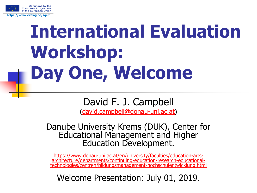

# **International Evaluation Workshop: Day One, Welcome**

#### David F. J. Campbell

([david.campbell@donau-uni.ac.at](mailto:david.campbell@donau-uni.ac.at))

Danube University Krems (DUK), Center for Educational Management and Higher Education Development.

https://www.donau-uni.ac.at/en/university/faculties/education-artsarchitecture/departments/continuing-education-research-educational[technologies/zentren/bildungsmanagement-hochschulentwicklung.html](https://www.donau-uni.ac.at/en/university/faculties/education-arts-architecture/departments/continuing-education-research-educational-technologies/zentren/bildungsmanagement-hochschulentwicklung.html)

Welcome Presentation: July 01, 2019.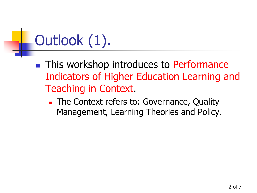## Outlook (1).

**This workshop introduces to Performance** Indicators of Higher Education Learning and Teaching in Context.

**The Context refers to: Governance, Quality** Management, Learning Theories and Policy.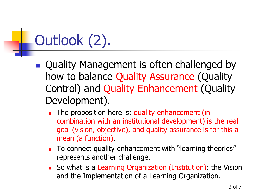## Outlook (2).

- **Quality Management is often challenged by** how to balance Quality Assurance (Quality Control) and Quality Enhancement (Quality Development).
	- The proposition here is: quality enhancement (in combination with an institutional development) is the real goal (vision, objective), and quality assurance is for this a mean (a function).
	- To connect quality enhancement with "learning theories" represents another challenge.
	- So what is a Learning Organization (Institution): the Vision and the Implementation of a Learning Organization.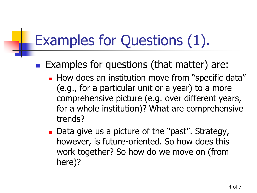#### Examples for Questions (1).

- **Examples for questions (that matter) are:** 
	- **How does an institution move from "specific data"** (e.g., for a particular unit or a year) to a more comprehensive picture (e.g. over different years, for a whole institution)? What are comprehensive trends?
	- Data give us a picture of the "past". Strategy, however, is future-oriented. So how does this work together? So how do we move on (from here)?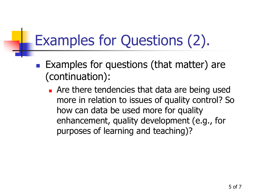#### Examples for Questions (2).

- **Examples for questions (that matter) are** (continuation):
	- **Are there tendencies that data are being used** more in relation to issues of quality control? So how can data be used more for quality enhancement, quality development (e.g., for purposes of learning and teaching)?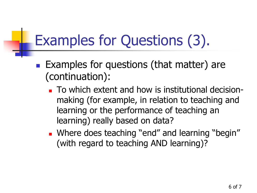#### Examples for Questions (3).

- **Examples for questions (that matter) are** (continuation):
	- To which extent and how is institutional decisionmaking (for example, in relation to teaching and learning or the performance of teaching an learning) really based on data?
	- **Number 1988 Seaching "end" and learning "begin"** (with regard to teaching AND learning)?